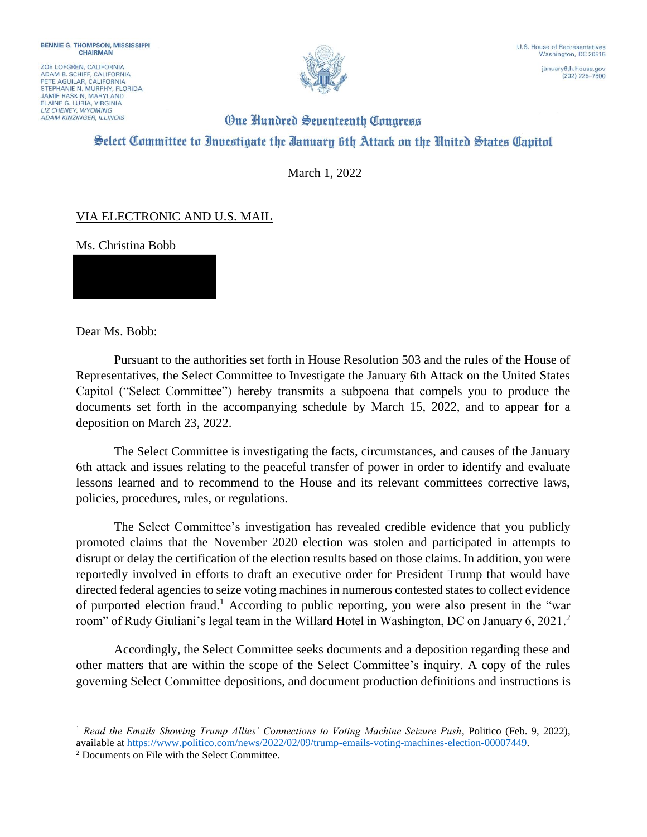ZOE LOFGREN, CALIFORNIA ADAM B. SCHIFF, CALIFORNIA<br>PETE AGUILAR, CALIFORNIA STEPHANIE N. MURPHY, FLORIDA **JAMIE RASKIN, MARYLAND** ELAINE G. LURIA, VIRGINIA **ADAM KINZINGER, ILLINOIS** 



 $(202)$  225-7800

## **One Hundred Seventeenth Congress** Select Committee to Investigate the Ianuary 6th Attack on the United States Capitol

March 1, 2022

## VIA ELECTRONIC AND U.S. MAIL

Ms. Christina Bobb

Dear Ms. Bobb:

Pursuant to the authorities set forth in House Resolution 503 and the rules of the House of Representatives, the Select Committee to Investigate the January 6th Attack on the United States Capitol ("Select Committee") hereby transmits a subpoena that compels you to produce the documents set forth in the accompanying schedule by March 15, 2022, and to appear for a deposition on March 23, 2022.

The Select Committee is investigating the facts, circumstances, and causes of the January 6th attack and issues relating to the peaceful transfer of power in order to identify and evaluate lessons learned and to recommend to the House and its relevant committees corrective laws, policies, procedures, rules, or regulations.

The Select Committee's investigation has revealed credible evidence that you publicly promoted claims that the November 2020 election was stolen and participated in attempts to disrupt or delay the certification of the election results based on those claims. In addition, you were reportedly involved in efforts to draft an executive order for President Trump that would have directed federal agencies to seize voting machines in numerous contested states to collect evidence of purported election fraud.<sup>1</sup> According to public reporting, you were also present in the "war room" of Rudy Giuliani's legal team in the Willard Hotel in Washington, DC on January 6, 2021. 2

Accordingly, the Select Committee seeks documents and a deposition regarding these and other matters that are within the scope of the Select Committee's inquiry. A copy of the rules governing Select Committee depositions, and document production definitions and instructions is

<sup>1</sup> *Read the Emails Showing Trump Allies' Connections to Voting Machine Seizure Push*, Politico (Feb. 9, 2022), available at https://www.politico.com/news/2022/02/09/trump-emails-voting-machines-election-00007449.

<sup>2</sup> Documents on File with the Select Committee.